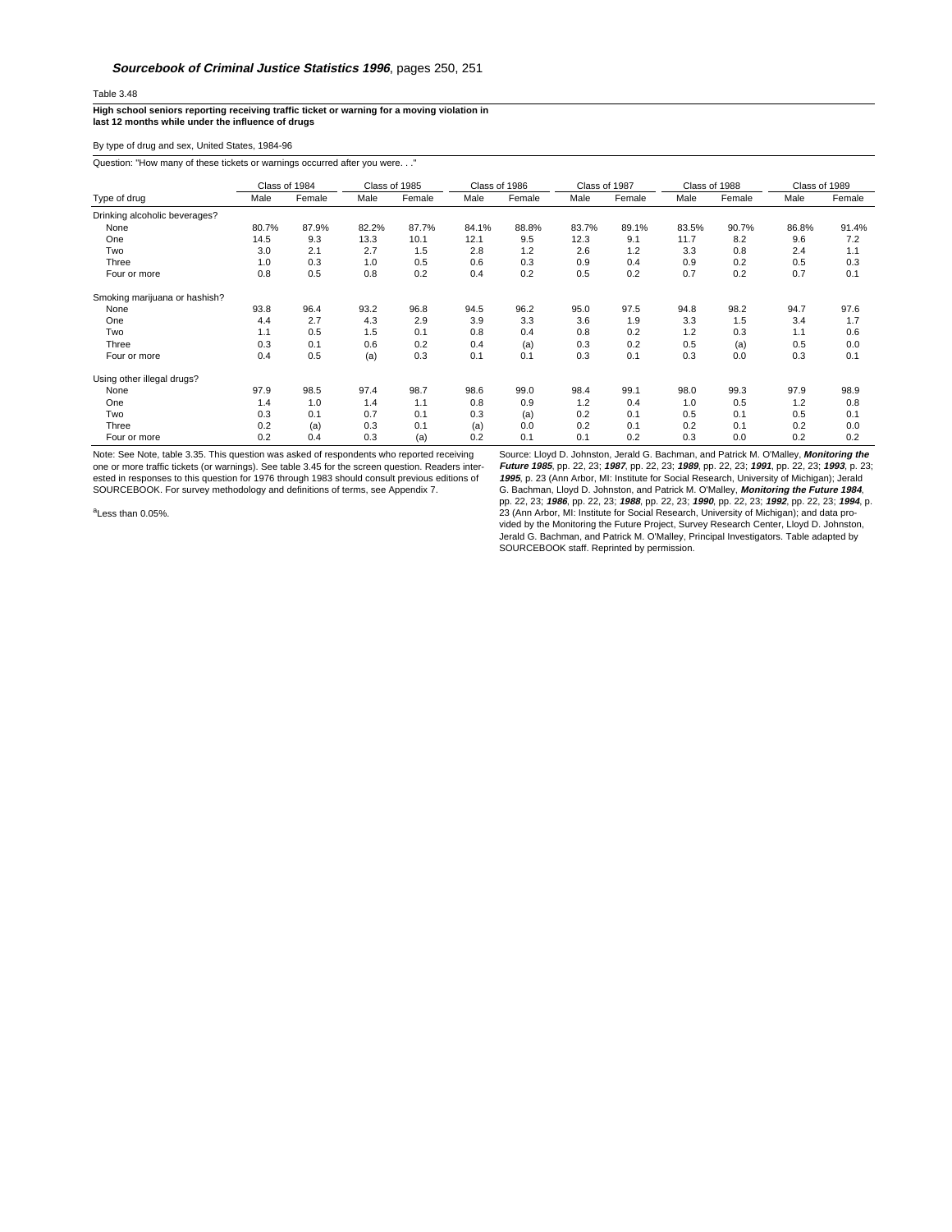## Table 3.48

**High school seniors reporting receiving traffic ticket or warning for a moving violation in last 12 months while under the influence of drugs**

By type of drug and sex, United States, 1984-96

Question: "How many of these tickets or warnings occurred after you were. . ."

|                               | Class of 1984 |        | Class of 1985 |        | Class of 1986 |        | Class of 1987 |        | Class of 1988 |        | Class of 1989 |        |
|-------------------------------|---------------|--------|---------------|--------|---------------|--------|---------------|--------|---------------|--------|---------------|--------|
| Type of drug                  | Male          | Female | Male          | Female | Male          | Female | Male          | Female | Male          | Female | Male          | Female |
| Drinking alcoholic beverages? |               |        |               |        |               |        |               |        |               |        |               |        |
| None                          | 80.7%         | 87.9%  | 82.2%         | 87.7%  | 84.1%         | 88.8%  | 83.7%         | 89.1%  | 83.5%         | 90.7%  | 86.8%         | 91.4%  |
| One                           | 14.5          | 9.3    | 13.3          | 10.1   | 12.1          | 9.5    | 12.3          | 9.1    | 11.7          | 8.2    | 9.6           | 7.2    |
| Two                           | 3.0           | 2.1    | 2.7           | 1.5    | 2.8           | 1.2    | 2.6           | 1.2    | 3.3           | 0.8    | 2.4           | 1.1    |
| Three                         | 1.0           | 0.3    | 1.0           | 0.5    | 0.6           | 0.3    | 0.9           | 0.4    | 0.9           | 0.2    | 0.5           | 0.3    |
| Four or more                  | 0.8           | 0.5    | 0.8           | 0.2    | 0.4           | 0.2    | 0.5           | 0.2    | 0.7           | 0.2    | 0.7           | 0.1    |
| Smoking marijuana or hashish? |               |        |               |        |               |        |               |        |               |        |               |        |
| None                          | 93.8          | 96.4   | 93.2          | 96.8   | 94.5          | 96.2   | 95.0          | 97.5   | 94.8          | 98.2   | 94.7          | 97.6   |
| One                           | 4.4           | 2.7    | 4.3           | 2.9    | 3.9           | 3.3    | 3.6           | 1.9    | 3.3           | 1.5    | 3.4           | 1.7    |
| Two                           | 1.1           | 0.5    | 1.5           | 0.1    | 0.8           | 0.4    | 0.8           | 0.2    | 1.2           | 0.3    | 1.1           | 0.6    |
| Three                         | 0.3           | 0.1    | 0.6           | 0.2    | 0.4           | (a)    | 0.3           | 0.2    | 0.5           | (a)    | 0.5           | 0.0    |
| Four or more                  | 0.4           | 0.5    | (a)           | 0.3    | 0.1           | 0.1    | 0.3           | 0.1    | 0.3           | 0.0    | 0.3           | 0.1    |
| Using other illegal drugs?    |               |        |               |        |               |        |               |        |               |        |               |        |
| None                          | 97.9          | 98.5   | 97.4          | 98.7   | 98.6          | 99.0   | 98.4          | 99.1   | 98.0          | 99.3   | 97.9          | 98.9   |
| One                           | 1.4           | 1.0    | 1.4           | 1.1    | 0.8           | 0.9    | 1.2           | 0.4    | 1.0           | 0.5    | 1.2           | 0.8    |
| Two                           | 0.3           | 0.1    | 0.7           | 0.1    | 0.3           | (a)    | 0.2           | 0.1    | 0.5           | 0.1    | 0.5           | 0.1    |
| Three                         | 0.2           | (a)    | 0.3           | 0.1    | (a)           | 0.0    | 0.2           | 0.1    | 0.2           | 0.1    | 0.2           | 0.0    |
| Four or more                  | 0.2           | 0.4    | 0.3           | (a)    | 0.2           | 0.1    | 0.1           | 0.2    | 0.3           | 0.0    | 0.2           | 0.2    |

Note: See Note, table 3.35. This question was asked of respondents who reported receiving one or more traffic tickets (or warnings). See table 3.45 for the screen question. Readers inter-<br>ested in responses to this question for 1976 through 1983 should consult previous editions of<br>SOURCEBOOK. For survey methodo

Source: Lloyd D. Johnston, Jerald G. Bachman, and Patrick M. O'Malley, **Monitoring the Future 1985**, pp. 22, 23; **1987**, pp. 22, 23; **1989**, pp. 22, 23; **1991**, pp. 22, 23; **1993**, p. 23; *1995*, p. 23 (Ann Arbor, MI: Institute for Social Research, University of Michigan); Jerald<br>G. Bachman, Lloyd D. Johnston, and Patrick M. O'Malley, *Monitoring the Future 1984*,<br>pp. 22, 23; *1986*, pp. 22, 23; *1988*, pp. vided by the Monitoring the Future Project, Survey Research Center, Lloyd D. Johnston, Jerald G. Bachman, and Patrick M. O'Malley, Principal Investigators. Table adapted by SOURCEBOOK staff. Reprinted by permission.

<sup>a</sup>Less than 0.05%.